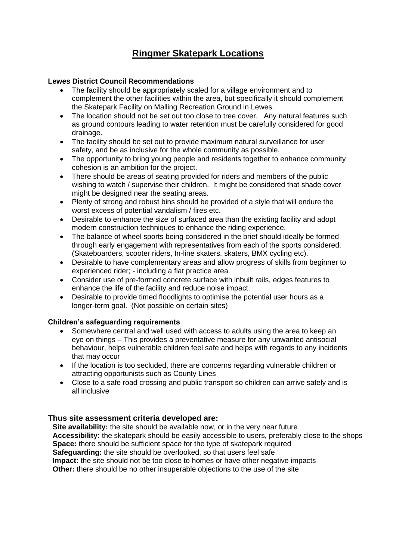# **Ringmer Skatepark Locations**

## **Lewes District Council Recommendations**

- The facility should be appropriately scaled for a village environment and to complement the other facilities within the area, but specifically it should complement the Skatepark Facility on Malling Recreation Ground in Lewes.
- The location should not be set out too close to tree cover. Any natural features such as ground contours leading to water retention must be carefully considered for good drainage.
- The facility should be set out to provide maximum natural surveillance for user safety, and be as inclusive for the whole community as possible.
- The opportunity to bring young people and residents together to enhance community cohesion is an ambition for the project.
- There should be areas of seating provided for riders and members of the public wishing to watch / supervise their children. It might be considered that shade cover might be designed near the seating areas.
- Plenty of strong and robust bins should be provided of a style that will endure the worst excess of potential vandalism / fires etc.
- Desirable to enhance the size of surfaced area than the existing facility and adopt modern construction techniques to enhance the riding experience.
- The balance of wheel sports being considered in the brief should ideally be formed through early engagement with representatives from each of the sports considered. (Skateboarders, scooter riders, In-line skaters, skaters, BMX cycling etc).
- Desirable to have complementary areas and allow progress of skills from beginner to experienced rider; - including a flat practice area.
- Consider use of pre-formed concrete surface with inbuilt rails, edges features to enhance the life of the facility and reduce noise impact.
- Desirable to provide timed floodlights to optimise the potential user hours as a longer-term goal. (Not possible on certain sites)

# **Children's safeguarding requirements**

- Somewhere central and well used with access to adults using the area to keep an eye on things – This provides a preventative measure for any unwanted antisocial behaviour, helps vulnerable children feel safe and helps with regards to any incidents that may occur
- If the location is too secluded, there are concerns regarding vulnerable children or attracting opportunists such as County Lines
- Close to a safe road crossing and public transport so children can arrive safely and is all inclusive

## **Thus site assessment criteria developed are:**

**Site availability:** the site should be available now, or in the very near future **Accessibility:** the skatepark should be easily accessible to users, preferably close to the shops **Space:** there should be sufficient space for the type of skatepark required **Safeguarding:** the site should be overlooked, so that users feel safe **Impact:** the site should not be too close to homes or have other negative impacts **Other:** there should be no other insuperable objections to the use of the site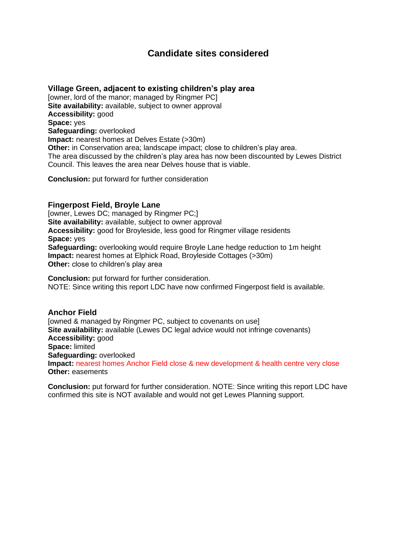# **Candidate sites considered**

## **Village Green, adjacent to existing children's play area**

[owner, lord of the manor; managed by Ringmer PC] **Site availability:** available, subject to owner approval **Accessibility:** good **Space:** yes **Safeguarding:** overlooked **Impact:** nearest homes at Delves Estate (>30m) **Other:** in Conservation area; landscape impact; close to children's play area. The area discussed by the children's play area has now been discounted by Lewes District Council. This leaves the area near Delves house that is viable.

**Conclusion:** put forward for further consideration

## **Fingerpost Field, Broyle Lane**

[owner, Lewes DC; managed by Ringmer PC;] **Site availability:** available, subject to owner approval **Accessibility:** good for Broyleside, less good for Ringmer village residents **Space:** yes **Safeguarding:** overlooking would require Broyle Lane hedge reduction to 1m height **Impact:** nearest homes at Elphick Road, Broyleside Cottages (>30m) **Other:** close to children's play area

**Conclusion:** put forward for further consideration. NOTE: Since writing this report LDC have now confirmed Fingerpost field is available.

## **Anchor Field**

[owned & managed by Ringmer PC, subject to covenants on use] **Site availability:** available (Lewes DC legal advice would not infringe covenants) **Accessibility:** good **Space:** limited **Safeguarding:** overlooked **Impact:** nearest homes Anchor Field close & new development & health centre very close **Other:** easements

**Conclusion:** put forward for further consideration. NOTE: Since writing this report LDC have confirmed this site is NOT available and would not get Lewes Planning support.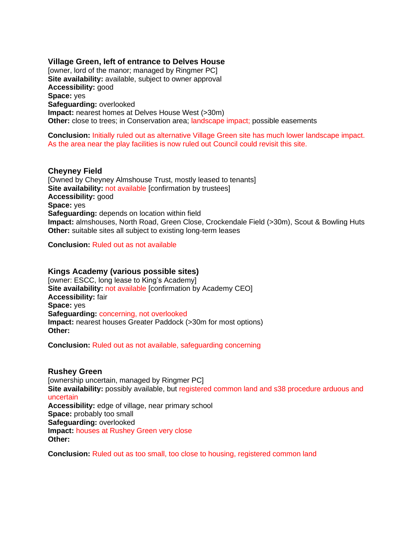## **Village Green, left of entrance to Delves House**

[owner, lord of the manor; managed by Ringmer PC] **Site availability:** available, subject to owner approval **Accessibility:** good **Space:** yes **Safeguarding:** overlooked **Impact:** nearest homes at Delves House West (>30m) **Other:** close to trees; in Conservation area; landscape impact; possible easements

**Conclusion:** Initially ruled out as alternative Village Green site has much lower landscape impact. As the area near the play facilities is now ruled out Council could revisit this site.

#### **Cheyney Field**

[Owned by Cheyney Almshouse Trust, mostly leased to tenants] **Site availability: not available [confirmation by trustees] Accessibility:** good **Space:** yes **Safeguarding:** depends on location within field **Impact:** almshouses, North Road, Green Close, Crockendale Field (>30m), Scout & Bowling Huts **Other:** suitable sites all subject to existing long-term leases

**Conclusion:** Ruled out as not available

#### **Kings Academy (various possible sites)**

[owner: ESCC, long lease to King's Academy] **Site availability:** not available [confirmation by Academy CEO] **Accessibility:** fair **Space:** yes **Safeguarding:** concerning, not overlooked **Impact:** nearest houses Greater Paddock (>30m for most options) **Other:**

**Conclusion:** Ruled out as not available, safeguarding concerning

#### **Rushey Green**

[ownership uncertain, managed by Ringmer PC] **Site availability:** possibly available, but registered common land and s38 procedure arduous and uncertain **Accessibility:** edge of village, near primary school **Space:** probably too small **Safeguarding:** overlooked **Impact:** houses at Rushey Green very close **Other:**

**Conclusion:** Ruled out as too small, too close to housing, registered common land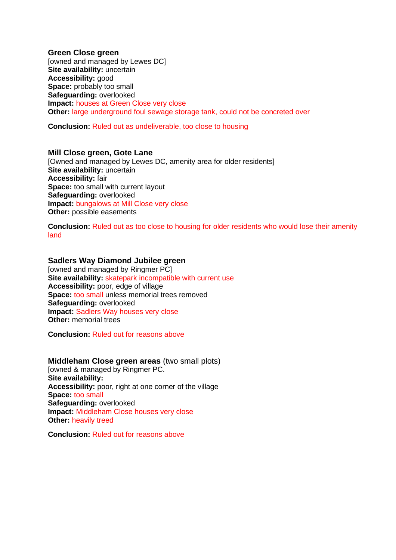### **Green Close green**

[owned and managed by Lewes DC] **Site availability:** uncertain **Accessibility:** good **Space:** probably too small **Safeguarding:** overlooked **Impact:** houses at Green Close very close **Other:** large underground foul sewage storage tank, could not be concreted over

**Conclusion:** Ruled out as undeliverable, too close to housing

#### **Mill Close green, Gote Lane**

[Owned and managed by Lewes DC, amenity area for older residents] **Site availability:** uncertain **Accessibility:** fair **Space:** too small with current layout **Safeguarding:** overlooked **Impact:** bungalows at Mill Close very close **Other:** possible easements

**Conclusion:** Ruled out as too close to housing for older residents who would lose their amenity land

## **Sadlers Way Diamond Jubilee green**

[owned and managed by Ringmer PC] **Site availability:** skatepark incompatible with current use **Accessibility:** poor, edge of village **Space:** too small unless memorial trees removed **Safeguarding:** overlooked **Impact:** Sadlers Way houses very close **Other:** memorial trees

**Conclusion:** Ruled out for reasons above

## **Middleham Close green areas** (two small plots)

[owned & managed by Ringmer PC. **Site availability: Accessibility:** poor, right at one corner of the village **Space:** too small **Safeguarding:** overlooked **Impact:** Middleham Close houses very close **Other:** heavily treed

**Conclusion:** Ruled out for reasons above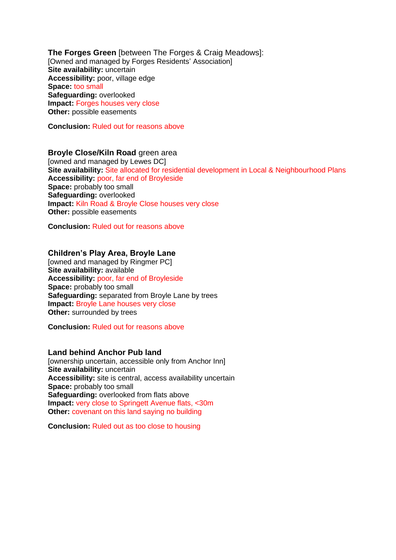**The Forges Green** [between The Forges & Craig Meadows]: [Owned and managed by Forges Residents' Association] **Site availability:** uncertain **Accessibility:** poor, village edge **Space:** too small **Safeguarding:** overlooked **Impact:** Forges houses very close **Other:** possible easements

**Conclusion:** Ruled out for reasons above

## **Broyle Close/Kiln Road** green area

[owned and managed by Lewes DC] **Site availability:** Site allocated for residential development in Local & Neighbourhood Plans **Accessibility:** poor, far end of Broyleside **Space:** probably too small **Safeguarding:** overlooked **Impact:** Kiln Road & Broyle Close houses very close **Other:** possible easements

**Conclusion:** Ruled out for reasons above

## **Children's Play Area, Broyle Lane**

[owned and managed by Ringmer PC] **Site availability:** available **Accessibility:** poor, far end of Broyleside **Space:** probably too small **Safeguarding:** separated from Broyle Lane by trees **Impact:** Broyle Lane houses very close **Other:** surrounded by trees

**Conclusion:** Ruled out for reasons above

## **Land behind Anchor Pub land**

[ownership uncertain, accessible only from Anchor Inn] **Site availability:** uncertain **Accessibility:** site is central, access availability uncertain **Space:** probably too small **Safeguarding:** overlooked from flats above **Impact:** very close to Springett Avenue flats, <30m **Other:** covenant on this land saying no building

**Conclusion:** Ruled out as too close to housing